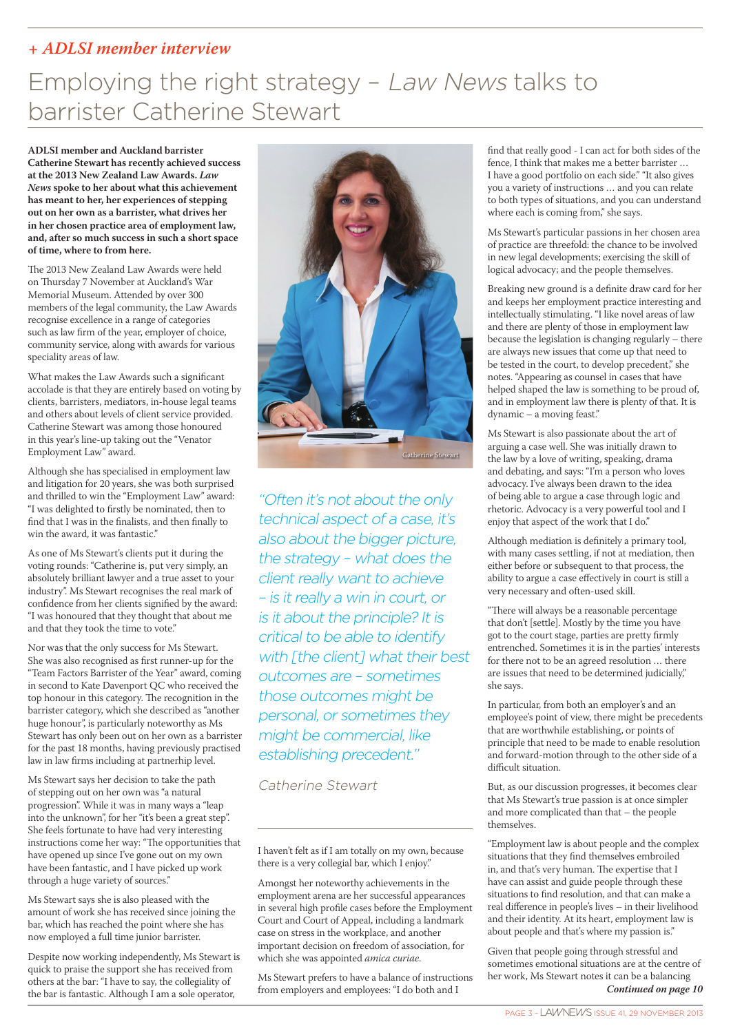#### *+ ADLSI member interview*

# Employing the right strategy – Law News talks to barrister Catherine Stewart

**ADLSI member and Auckland barrister Catherine Stewart has recently achieved success at the 2013 New Zealand Law Awards.** *Law News* **spoke to her about what this achievement has meant to her, her experiences of stepping out on her own as a barrister, what drives her in her chosen practice area of employment law, and, after so much success in such a short space of time, where to from here.**

The 2013 New Zealand Law Awards were held on Thursday 7 November at Auckland's War Memorial Museum. Attended by over 300 members of the legal community, the Law Awards recognise excellence in a range of categories such as law firm of the year, employer of choice, community service, along with awards for various speciality areas of law.

What makes the Law Awards such a significant accolade is that they are entirely based on voting by clients, barristers, mediators, in-house legal teams and others about levels of client service provided. Catherine Stewart was among those honoured in this year's line-up taking out the "Venator Employment Law" award.

Although she has specialised in employment law and litigation for 20 years, she was both surprised and thrilled to win the "Employment Law" award: "I was delighted to firstly be nominated, then to find that I was in the finalists, and then finally to win the award, it was fantastic."

As one of Ms Stewart's clients put it during the voting rounds: "Catherine is, put very simply, an absolutely brilliant lawyer and a true asset to your industry". Ms Stewart recognises the real mark of confidence from her clients signified by the award: "I was honoured that they thought that about me and that they took the time to vote."

Nor was that the only success for Ms Stewart. She was also recognised as first runner-up for the "Team Factors Barrister of the Year" award, coming in second to Kate Davenport QC who received the top honour in this category. The recognition in the barrister category, which she described as "another huge honour", is particularly noteworthy as Ms Stewart has only been out on her own as a barrister for the past 18 months, having previously practised law in law firms including at partnerhip level.

Ms Stewart says her decision to take the path of stepping out on her own was "a natural progression". While it was in many ways a "leap into the unknown", for her "it's been a great step". She feels fortunate to have had very interesting instructions come her way: "The opportunities that have opened up since I've gone out on my own have been fantastic, and I have picked up work through a huge variety of sources."

Ms Stewart says she is also pleased with the amount of work she has received since joining the bar, which has reached the point where she has now employed a full time junior barrister.

Despite now working independently, Ms Stewart is quick to praise the support she has received from others at the bar: "I have to say, the collegiality of the bar is fantastic. Although I am a sole operator,



"Often it's not about the only technical aspect of a case, it's also about the bigger picture, the strategy – what does the client really want to achieve – is it really a win in court, or is it about the principle? It is critical to be able to identify with [the client] what their best outcomes are – sometimes those outcomes might be personal, or sometimes they might be commercial, like establishing precedent."

Catherine Stewart

I haven't felt as if I am totally on my own, because there is a very collegial bar, which I enjoy."

Amongst her noteworthy achievements in the employment arena are her successful appearances in several high profile cases before the Employment Court and Court of Appeal, including a landmark case on stress in the workplace, and another important decision on freedom of association, for which she was appointed *amica curiae*.

Ms Stewart prefers to have a balance of instructions from employers and employees: "I do both and I

find that really good - I can act for both sides of the fence, I think that makes me a better barrister … I have a good portfolio on each side." "It also gives you a variety of instructions … and you can relate to both types of situations, and you can understand where each is coming from," she says.

Ms Stewart's particular passions in her chosen area of practice are threefold: the chance to be involved in new legal developments; exercising the skill of logical advocacy; and the people themselves.

Breaking new ground is a definite draw card for her and keeps her employment practice interesting and intellectually stimulating. "I like novel areas of law and there are plenty of those in employment law because the legislation is changing regularly – there are always new issues that come up that need to be tested in the court, to develop precedent," she notes. "Appearing as counsel in cases that have helped shaped the law is something to be proud of, and in employment law there is plenty of that. It is dynamic – a moving feast."

Ms Stewart is also passionate about the art of arguing a case well. She was initially drawn to the law by a love of writing, speaking, drama and debating, and says: "I'm a person who loves advocacy. I've always been drawn to the idea of being able to argue a case through logic and rhetoric. Advocacy is a very powerful tool and I enjoy that aspect of the work that I do."

Although mediation is definitely a primary tool, with many cases settling, if not at mediation, then either before or subsequent to that process, the ability to argue a case effectively in court is still a very necessary and often-used skill.

"There will always be a reasonable percentage that don't [settle]. Mostly by the time you have got to the court stage, parties are pretty firmly entrenched. Sometimes it is in the parties' interests for there not to be an agreed resolution … there are issues that need to be determined judicially," she says.

In particular, from both an employer's and an employee's point of view, there might be precedents that are worthwhile establishing, or points of principle that need to be made to enable resolution and forward-motion through to the other side of a difficult situation.

But, as our discussion progresses, it becomes clear that Ms Stewart's true passion is at once simpler and more complicated than that – the people themselves.

"Employment law is about people and the complex situations that they find themselves embroiled in, and that's very human. The expertise that I have can assist and guide people through these situations to find resolution, and that can make a real difference in people's lives – in their livelihood and their identity. At its heart, employment law is about people and that's where my passion is."

Given that people going through stressful and sometimes emotional situations are at the centre of her work, Ms Stewart notes it can be a balancing *Continued on page 10*